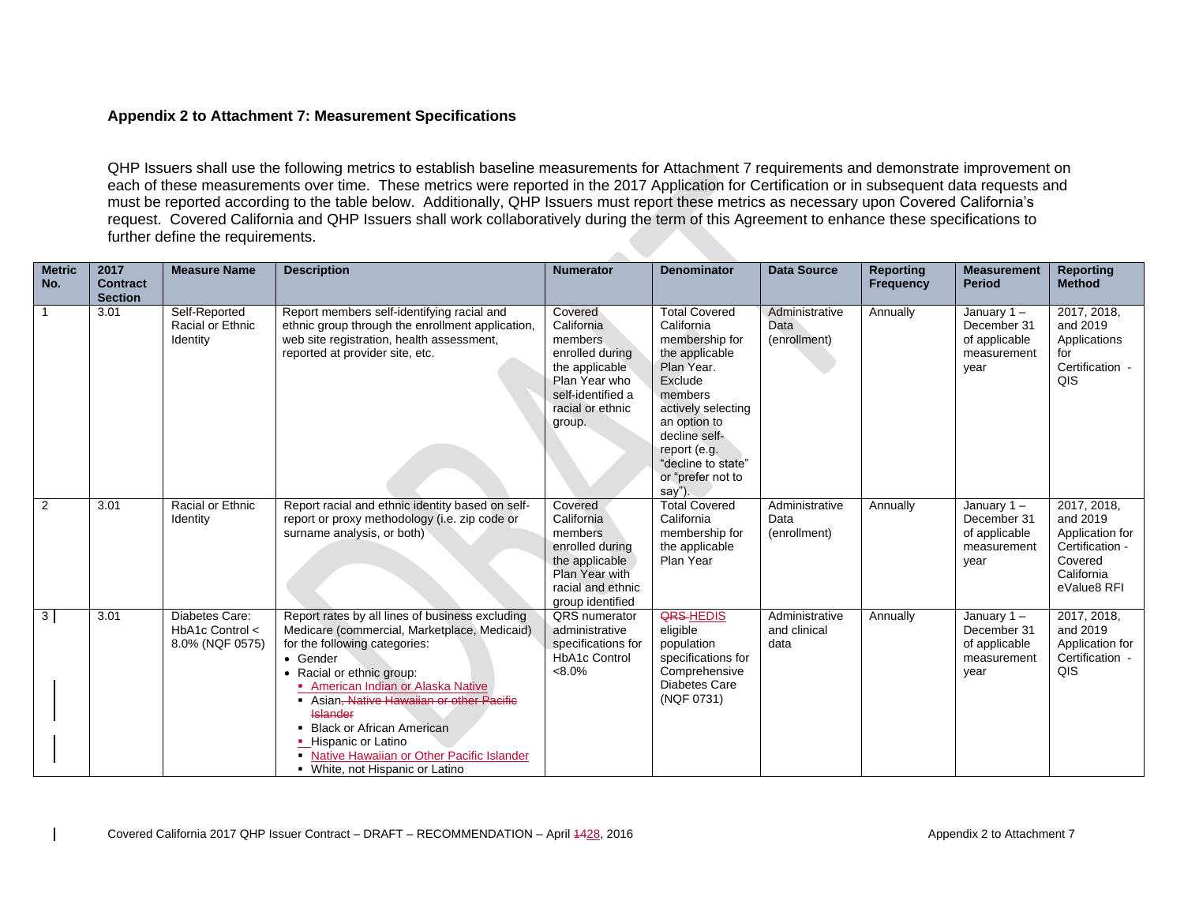## **Appendix 2 to Attachment 7: Measurement Specifications**

QHP Issuers shall use the following metrics to establish baseline measurements for Attachment 7 requirements and demonstrate improvement on each of these measurements over time. These metrics were reported in the 2017 Application for Certification or in subsequent data requests and must be reported according to the table below. Additionally, QHP Issuers must report these metrics as necessary upon Covered California's request. Covered California and QHP Issuers shall work collaboratively during the term of this Agreement to enhance these specifications to further define the requirements.

| <b>Metric</b><br>No. | 2017<br><b>Contract</b> | <b>Measure Name</b>                                  | <b>Description</b>                                                                                                                                                                                                                                                                                                                                                                                                   | <b>Numerator</b>                                                                                                                           | <b>Denominator</b>                                                                                                                                                                                                                    | <b>Data Source</b>                     | <b>Reporting</b><br><b>Frequency</b> | <b>Measurement</b><br><b>Period</b>                                  | <b>Reporting</b><br><b>Method</b>                                                                     |
|----------------------|-------------------------|------------------------------------------------------|----------------------------------------------------------------------------------------------------------------------------------------------------------------------------------------------------------------------------------------------------------------------------------------------------------------------------------------------------------------------------------------------------------------------|--------------------------------------------------------------------------------------------------------------------------------------------|---------------------------------------------------------------------------------------------------------------------------------------------------------------------------------------------------------------------------------------|----------------------------------------|--------------------------------------|----------------------------------------------------------------------|-------------------------------------------------------------------------------------------------------|
|                      | <b>Section</b><br>3.01  | Self-Reported<br>Racial or Ethnic<br>Identity        | Report members self-identifying racial and<br>ethnic group through the enrollment application,<br>web site registration, health assessment,<br>reported at provider site, etc.                                                                                                                                                                                                                                       | Covered<br>California<br>members.<br>enrolled during<br>the applicable<br>Plan Year who<br>self-identified a<br>racial or ethnic<br>group. | <b>Total Covered</b><br>California<br>membership for<br>the applicable<br>Plan Year.<br>Exclude<br>members<br>actively selecting<br>an option to<br>decline self-<br>report (e.g.<br>"decline to state"<br>or "prefer not to<br>sav") | Administrative<br>Data<br>(enrollment) | Annually                             | January $1 -$<br>December 31<br>of applicable<br>measurement<br>year | 2017, 2018,<br>and 2019<br>Applications<br>for<br>Certification -<br>QIS                              |
| 2                    | 3.01                    | Racial or Ethnic<br>Identity                         | Report racial and ethnic identity based on self-<br>report or proxy methodology (i.e. zip code or<br>surname analysis, or both)                                                                                                                                                                                                                                                                                      | Covered<br>California<br>members<br>enrolled during<br>the applicable<br>Plan Year with<br>racial and ethnic<br>group identified           | <b>Total Covered</b><br>California<br>membership for<br>the applicable<br>Plan Year                                                                                                                                                   | Administrative<br>Data<br>(enrollment) | Annually                             | January 1-<br>December 31<br>of applicable<br>measurement<br>year    | 2017, 2018,<br>and 2019<br>Application for<br>Certification -<br>Covered<br>California<br>eValue8 RFI |
| 3 <sup>1</sup>       | 3.01                    | Diabetes Care:<br>HbA1c Control <<br>8.0% (NQF 0575) | Report rates by all lines of business excluding<br>Medicare (commercial, Marketplace, Medicaid)<br>for the following categories:<br>• Gender<br>• Racial or ethnic group:<br>American Indian or Alaska Native<br>Asian, Native Hawaiian or other Pacific<br><b>Islander</b><br>• Black or African American<br>• Hispanic or Latino<br>• Native Hawaiian or Other Pacific Islander<br>• White, not Hispanic or Latino | QRS numerator<br>administrative<br>specifications for<br><b>HbA1c Control</b><br>$<8.0\%$                                                  | <b>QRS-HEDIS</b><br>eligible<br>population<br>specifications for<br>Comprehensive<br><b>Diabetes Care</b><br>(NQF 0731)                                                                                                               | Administrative<br>and clinical<br>data | Annually                             | January $1 -$<br>December 31<br>of applicable<br>measurement<br>year | 2017, 2018,<br>and 2019<br>Application for<br>Certification -<br>QIS                                  |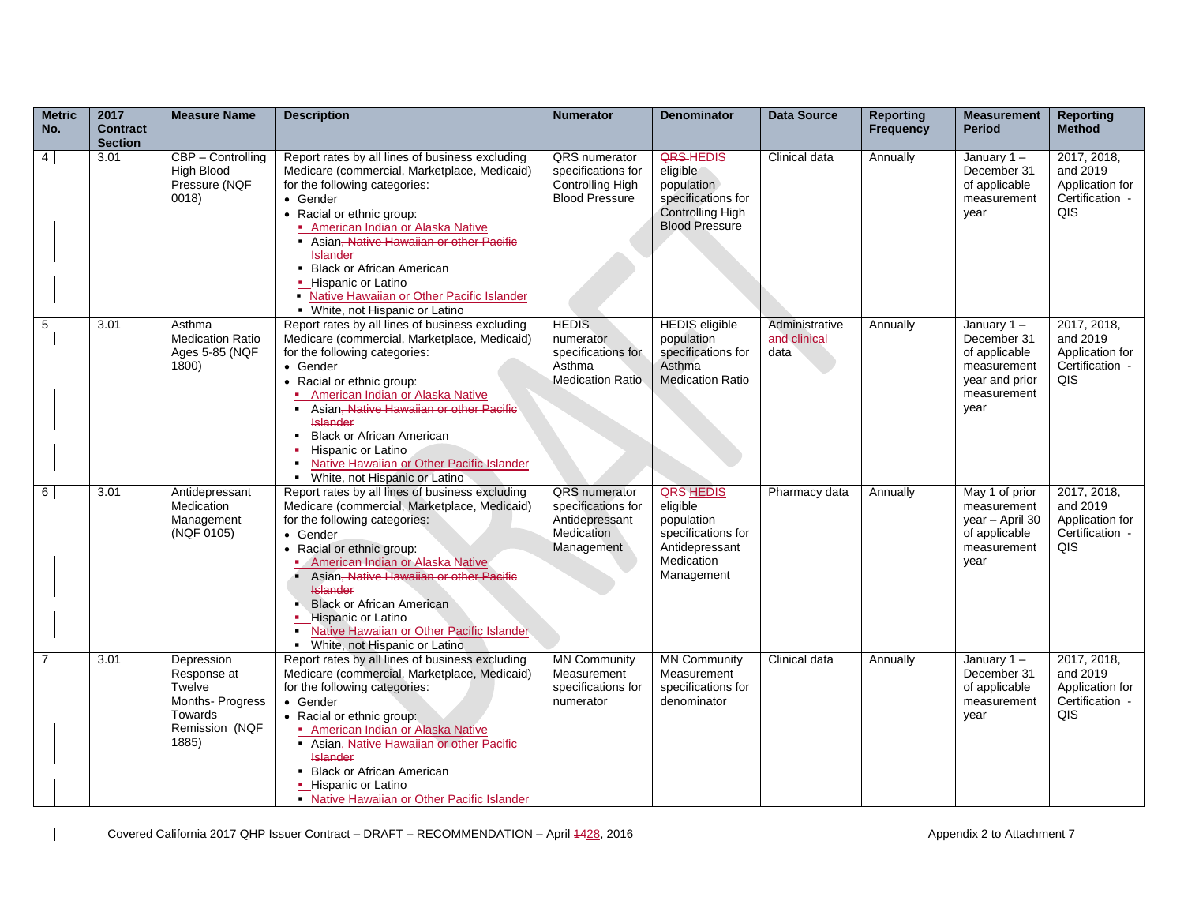| <b>Metric</b><br>No. | 2017<br><b>Contract</b><br><b>Section</b> | <b>Measure Name</b>                                                                          | <b>Description</b>                                                                                                                                                                                                                                                                                                                                                                                                                   | <b>Numerator</b>                                                                                | <b>Denominator</b>                                                                                             | <b>Data Source</b>                     | <b>Reporting</b><br><b>Frequency</b> | <b>Measurement</b><br><b>Period</b>                                                                   | <b>Reporting</b><br><b>Method</b>                                    |
|----------------------|-------------------------------------------|----------------------------------------------------------------------------------------------|--------------------------------------------------------------------------------------------------------------------------------------------------------------------------------------------------------------------------------------------------------------------------------------------------------------------------------------------------------------------------------------------------------------------------------------|-------------------------------------------------------------------------------------------------|----------------------------------------------------------------------------------------------------------------|----------------------------------------|--------------------------------------|-------------------------------------------------------------------------------------------------------|----------------------------------------------------------------------|
| $4 \mid$             | 3.01                                      | CBP - Controlling<br><b>High Blood</b><br>Pressure (NQF<br>0018)                             | Report rates by all lines of business excluding<br>Medicare (commercial, Marketplace, Medicaid)<br>for the following categories:<br>• Gender<br>• Racial or ethnic group:<br>American Indian or Alaska Native<br>Asian <del>, Native Hawaiian or other Pacific</del><br><b>Islander</b><br>• Black or African American<br>• Hispanic or Latino<br>• Native Hawaiian or Other Pacific Islander<br>• White, not Hispanic or Latino     | <b>QRS</b> numerator<br>specifications for<br>Controlling High<br><b>Blood Pressure</b>         | <b>QRS-HEDIS</b><br>eligible<br>population<br>specifications for<br>Controlling High<br><b>Blood Pressure</b>  | Clinical data                          | Annually                             | January $1 -$<br>December 31<br>of applicable<br>measurement<br>year                                  | 2017, 2018,<br>and 2019<br>Application for<br>Certification -<br>QIS |
| $\sqrt{5}$           | 3.01                                      | Asthma<br><b>Medication Ratio</b><br>Ages 5-85 (NQF<br>1800)                                 | Report rates by all lines of business excluding<br>Medicare (commercial, Marketplace, Medicaid)<br>for the following categories:<br>• Gender<br>• Racial or ethnic group:<br>American Indian or Alaska Native<br>Asian, Native Hawaiian or other Pacific<br><b>Islander</b><br>• Black or African American<br>• Hispanic or Latino<br>Native Hawaiian or Other Pacific Islander<br>$\blacksquare$<br>- White, not Hispanic or Latino | <b>HEDIS</b><br>numerator<br>specifications for<br>Asthma<br><b>Medication Ratio</b>            | <b>HEDIS</b> eligible<br>population<br>specifications for<br>Asthma<br><b>Medication Ratio</b>                 | Administrative<br>and clinical<br>data | Annually                             | January $1 -$<br>December 31<br>of applicable<br>measurement<br>year and prior<br>measurement<br>year | 2017, 2018,<br>and 2019<br>Application for<br>Certification -<br>QIS |
| 6                    | 3.01                                      | Antidepressant<br>Medication<br>Management<br>(NQF 0105)                                     | Report rates by all lines of business excluding<br>Medicare (commercial, Marketplace, Medicaid)<br>for the following categories:<br>• Gender<br>• Racial or ethnic group:<br><b>American Indian or Alaska Native</b><br>Asian, Native Hawaiian or other Pacific<br><b>Islander</b><br><b>Black or African American</b><br><b>Hispanic or Latino</b><br>Native Hawaiian or Other Pacific Islander<br>• White, not Hispanic or Latino  | <b>QRS</b> numerator<br>specifications for<br>Antidepressant<br><b>Medication</b><br>Management | <b>QRS-HEDIS</b><br>eligible<br>population<br>specifications for<br>Antidepressant<br>Medication<br>Management | Pharmacy data                          | Annually                             | May 1 of prior<br>measurement<br>year - April 30<br>of applicable<br>measurement<br>year              | 2017, 2018,<br>and 2019<br>Application for<br>Certification -<br>QIS |
| $\overline{7}$       | 3.01                                      | Depression<br>Response at<br>Twelve<br>Months-Progress<br>Towards<br>Remission (NQF<br>1885) | Report rates by all lines of business excluding<br>Medicare (commercial, Marketplace, Medicaid)<br>for the following categories:<br>• Gender<br>• Racial or ethnic group:<br><b>American Indian or Alaska Native</b><br>Asian, Native Hawaiian or other Pacific<br><b>Islander</b><br>• Black or African American<br>• Hispanic or Latino<br>• Native Hawaiian or Other Pacific Islander                                             | <b>MN Community</b><br>Measurement<br>specifications for<br>numerator                           | <b>MN Community</b><br>Measurement<br>specifications for<br>denominator                                        | Clinical data                          | Annually                             | January $1 -$<br>December 31<br>of applicable<br>measurement<br>year                                  | 2017, 2018,<br>and 2019<br>Application for<br>Certification -<br>QIS |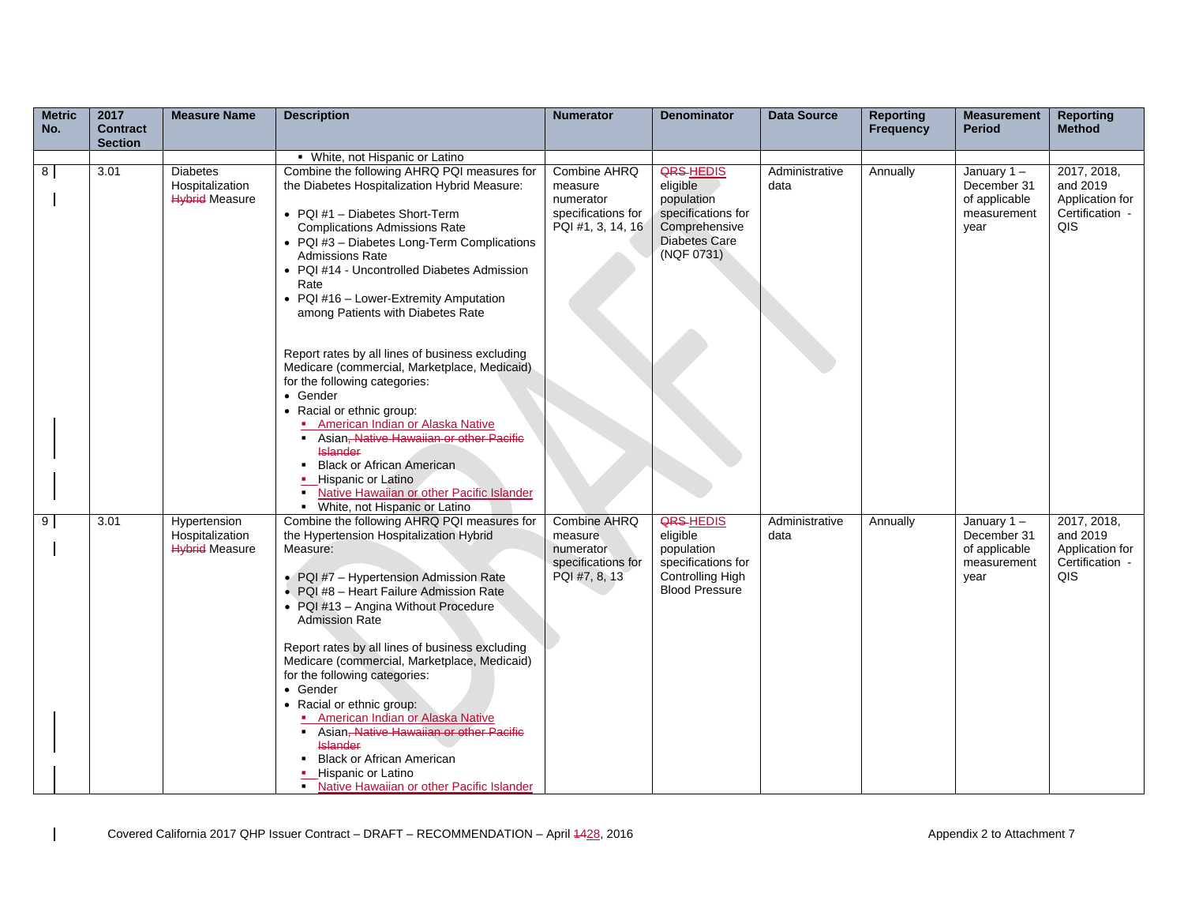| <b>Metric</b><br>No. | 2017<br><b>Contract</b> | <b>Measure Name</b>                                      | <b>Description</b>                                                                                                                                                                                                                                                                                                                                                                                                                                                                                                                                                                                                                                   | <b>Numerator</b>                                                                   | <b>Denominator</b>                                                                                                      | <b>Data Source</b>     | <b>Reporting</b><br><b>Frequency</b> | <b>Measurement</b><br><b>Period</b>                                  | <b>Reporting</b><br><b>Method</b>                                    |
|----------------------|-------------------------|----------------------------------------------------------|------------------------------------------------------------------------------------------------------------------------------------------------------------------------------------------------------------------------------------------------------------------------------------------------------------------------------------------------------------------------------------------------------------------------------------------------------------------------------------------------------------------------------------------------------------------------------------------------------------------------------------------------------|------------------------------------------------------------------------------------|-------------------------------------------------------------------------------------------------------------------------|------------------------|--------------------------------------|----------------------------------------------------------------------|----------------------------------------------------------------------|
|                      | <b>Section</b>          |                                                          |                                                                                                                                                                                                                                                                                                                                                                                                                                                                                                                                                                                                                                                      |                                                                                    |                                                                                                                         |                        |                                      |                                                                      |                                                                      |
|                      |                         |                                                          | • White, not Hispanic or Latino                                                                                                                                                                                                                                                                                                                                                                                                                                                                                                                                                                                                                      |                                                                                    |                                                                                                                         |                        |                                      |                                                                      |                                                                      |
| 8                    | 3.01                    | Diabetes<br>Hospitalization<br><b>Hybrid Measure</b>     | Combine the following AHRQ PQI measures for<br>the Diabetes Hospitalization Hybrid Measure:<br>• PQI #1 - Diabetes Short-Term<br><b>Complications Admissions Rate</b><br>• PQI #3 - Diabetes Long-Term Complications<br><b>Admissions Rate</b><br>• PQI #14 - Uncontrolled Diabetes Admission<br>Rate<br>• PQI #16 - Lower-Extremity Amputation<br>among Patients with Diabetes Rate                                                                                                                                                                                                                                                                 | Combine AHRQ<br>measure<br>numerator<br>specifications for<br>PQI #1, 3, 14, 16    | <b>QRS-HEDIS</b><br>eligible<br>population<br>specifications for<br>Comprehensive<br><b>Diabetes Care</b><br>(NQF 0731) | Administrative<br>data | Annually                             | January $1 -$<br>December 31<br>of applicable<br>measurement<br>year | 2017, 2018,<br>and 2019<br>Application for<br>Certification -<br>QIS |
|                      |                         |                                                          | Report rates by all lines of business excluding<br>Medicare (commercial, Marketplace, Medicaid)<br>for the following categories:<br>• Gender<br>• Racial or ethnic group:<br><b>American Indian or Alaska Native</b><br>Asian, Native Hawaiian or other Pacific<br><b>Islander</b><br><b>Black or African American</b><br>• Hispanic or Latino<br>Native Hawaiian or other Pacific Islander<br>• White, not Hispanic or Latino                                                                                                                                                                                                                       |                                                                                    |                                                                                                                         |                        |                                      |                                                                      |                                                                      |
| 9                    | 3.01                    | Hypertension<br>Hospitalization<br><b>Hybrid Measure</b> | Combine the following AHRQ PQI measures for<br>the Hypertension Hospitalization Hybrid<br>Measure:<br>• PQI #7 - Hypertension Admission Rate<br>• PQI #8 - Heart Failure Admission Rate<br>• PQI #13 - Angina Without Procedure<br><b>Admission Rate</b><br>Report rates by all lines of business excluding<br>Medicare (commercial, Marketplace, Medicaid)<br>for the following categories:<br>• Gender<br>• Racial or ethnic group:<br>• American Indian or Alaska Native<br>Asian, Native Hawaiian or other Pacific<br><b>Islander</b><br><b>Black or African American</b><br>• Hispanic or Latino<br>• Native Hawaiian or other Pacific Islander | <b>Combine AHRQ</b><br>measure<br>numerator<br>specifications for<br>PQI #7, 8, 13 | <b>QRS-HEDIS</b><br>eligible<br>population<br>specifications for<br>Controlling High<br><b>Blood Pressure</b>           | Administrative<br>data | Annually                             | January $1 -$<br>December 31<br>of applicable<br>measurement<br>year | 2017, 2018,<br>and 2019<br>Application for<br>Certification -<br>QIS |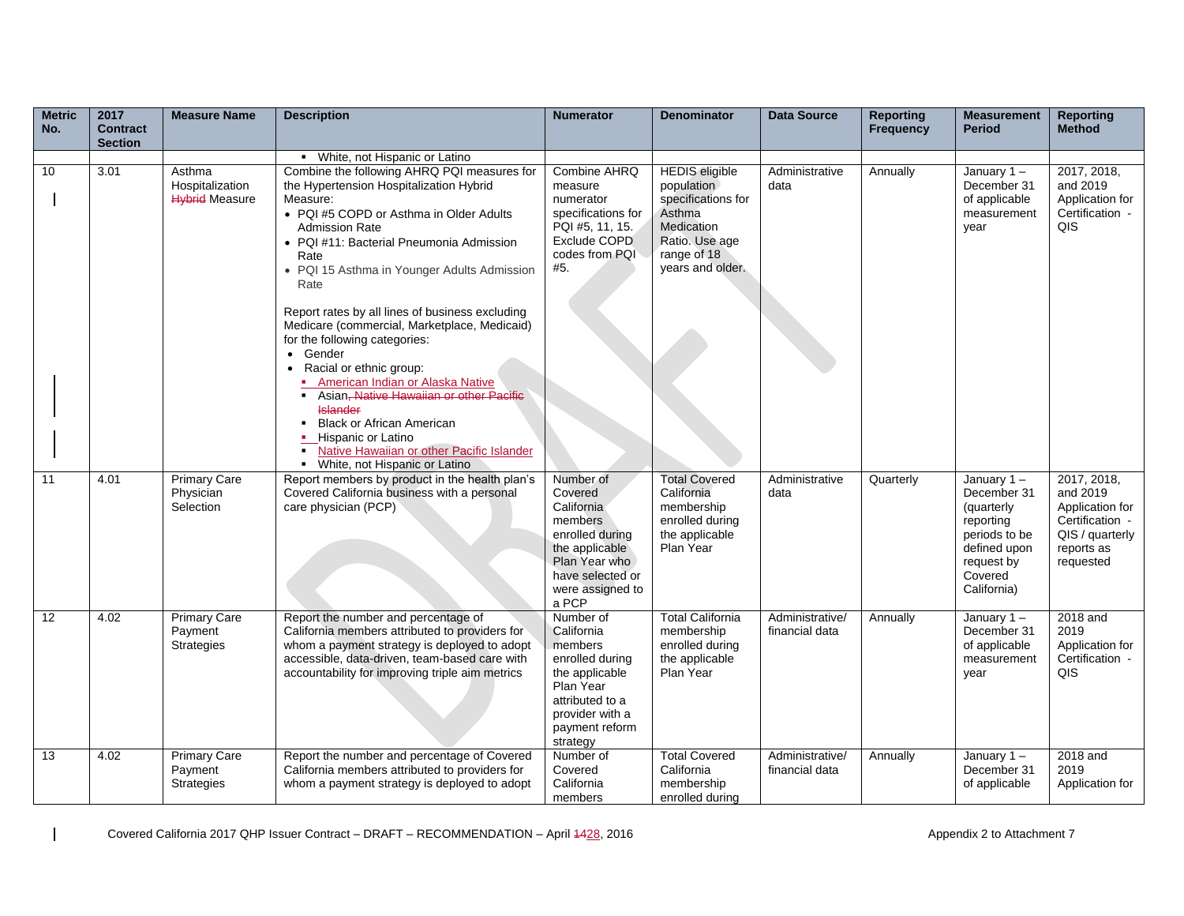| <b>Metric</b> | 2017                              | <b>Measure Name</b>                                 | <b>Description</b>                                                                                                                                                                                                                                                                                                                                                                                                 | <b>Numerator</b>                                                                                                                                         | <b>Denominator</b>                                                                                                                     | <b>Data Source</b>                | <b>Reporting</b> | <b>Measurement</b>                                                                                              | <b>Reporting</b>                                                                             |
|---------------|-----------------------------------|-----------------------------------------------------|--------------------------------------------------------------------------------------------------------------------------------------------------------------------------------------------------------------------------------------------------------------------------------------------------------------------------------------------------------------------------------------------------------------------|----------------------------------------------------------------------------------------------------------------------------------------------------------|----------------------------------------------------------------------------------------------------------------------------------------|-----------------------------------|------------------|-----------------------------------------------------------------------------------------------------------------|----------------------------------------------------------------------------------------------|
| No.           | <b>Contract</b><br><b>Section</b> |                                                     |                                                                                                                                                                                                                                                                                                                                                                                                                    |                                                                                                                                                          |                                                                                                                                        |                                   | <b>Frequency</b> | <b>Period</b>                                                                                                   | <b>Method</b>                                                                                |
|               |                                   |                                                     | • White, not Hispanic or Latino                                                                                                                                                                                                                                                                                                                                                                                    |                                                                                                                                                          |                                                                                                                                        |                                   |                  |                                                                                                                 |                                                                                              |
| 10            | 3.01                              | Asthma<br>Hospitalization<br><b>Hybrid Measure</b>  | Combine the following AHRQ PQI measures for<br>the Hypertension Hospitalization Hybrid<br>Measure:<br>• PQI #5 COPD or Asthma in Older Adults<br><b>Admission Rate</b><br>• PQI #11: Bacterial Pneumonia Admission<br>Rate<br>• PQI 15 Asthma in Younger Adults Admission<br>Rate<br>Report rates by all lines of business excluding                                                                               | Combine AHRQ<br>measure<br>numerator<br>specifications for<br>PQI #5, 11, 15.<br>Exclude COPD<br>codes from PQI<br>#5.                                   | <b>HEDIS</b> eligible<br>population<br>specifications for<br>Asthma<br>Medication<br>Ratio. Use age<br>range of 18<br>years and older. | Administrative<br>data            | Annually         | January $1 -$<br>December 31<br>of applicable<br>measurement<br>year                                            | 2017, 2018,<br>and 2019<br>Application for<br>Certification -<br>QIS                         |
| 11            | 4.01                              | <b>Primary Care</b>                                 | Medicare (commercial, Marketplace, Medicaid)<br>for the following categories:<br>• Gender<br>Racial or ethnic group:<br>American Indian or Alaska Native<br>Asian, Native Hawaiian or other Pacific<br><b>Islander</b><br><b>Black or African American</b><br>Hispanic or Latino<br>Native Hawaiian or other Pacific Islander<br>- White, not Hispanic or Latino<br>Report members by product in the health plan's | Number of                                                                                                                                                | <b>Total Covered</b>                                                                                                                   | Administrative                    |                  | January $1 -$                                                                                                   | 2017, 2018,                                                                                  |
|               |                                   | Physician<br>Selection                              | Covered California business with a personal<br>care physician (PCP)                                                                                                                                                                                                                                                                                                                                                | Covered<br>California<br>members<br>enrolled during<br>the applicable<br>Plan Year who<br>have selected or<br>were assigned to<br>a PCP                  | California<br>membership<br>enrolled during<br>the applicable<br>Plan Year                                                             | data                              | Quarterly        | December 31<br>(quarterly<br>reporting<br>periods to be<br>defined upon<br>request by<br>Covered<br>California) | and 2019<br>Application for<br>Certification -<br>QIS / quarterly<br>reports as<br>requested |
| 12            | 4.02                              | Primary Care<br>Payment<br>Strategies               | Report the number and percentage of<br>California members attributed to providers for<br>whom a payment strategy is deployed to adopt<br>accessible, data-driven, team-based care with<br>accountability for improving triple aim metrics                                                                                                                                                                          | Number of<br>California<br>members<br>enrolled during<br>the applicable<br>Plan Year<br>attributed to a<br>provider with a<br>payment reform<br>strategy | <b>Total California</b><br>membership<br>enrolled during<br>the applicable<br>Plan Year                                                | Administrative/<br>financial data | Annually         | January $1 -$<br>December 31<br>of applicable<br>measurement<br>year                                            | 2018 and<br>2019<br>Application for<br>Certification -<br>QIS                                |
| 13            | 4.02                              | <b>Primary Care</b><br>Payment<br><b>Strategies</b> | Report the number and percentage of Covered<br>California members attributed to providers for<br>whom a payment strategy is deployed to adopt                                                                                                                                                                                                                                                                      | Number of<br>Covered<br>California<br>members                                                                                                            | <b>Total Covered</b><br>California<br>membership<br>enrolled during                                                                    | Administrative/<br>financial data | Annually         | January $1 -$<br>December 31<br>of applicable                                                                   | 2018 and<br>2019<br>Application for                                                          |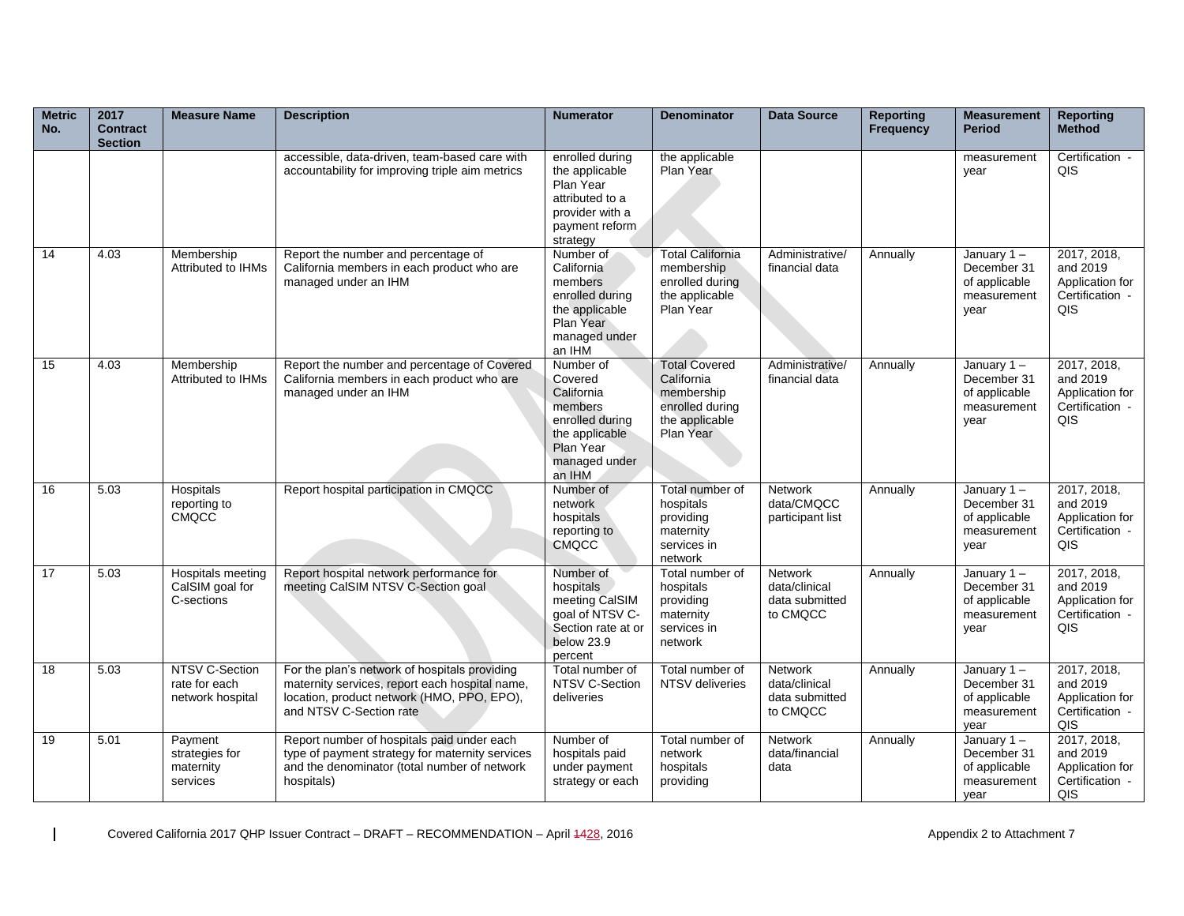| <b>Metric</b><br>No. | 2017<br><b>Contract</b><br><b>Section</b> | <b>Measure Name</b>                                 | <b>Description</b>                                                                                                                                                       | <b>Numerator</b>                                                                                                           | <b>Denominator</b>                                                                                 | <b>Data Source</b>                                     | <b>Reporting</b><br><b>Frequency</b> | <b>Measurement</b><br><b>Period</b>                                  | <b>Reporting</b><br><b>Method</b>                                           |
|----------------------|-------------------------------------------|-----------------------------------------------------|--------------------------------------------------------------------------------------------------------------------------------------------------------------------------|----------------------------------------------------------------------------------------------------------------------------|----------------------------------------------------------------------------------------------------|--------------------------------------------------------|--------------------------------------|----------------------------------------------------------------------|-----------------------------------------------------------------------------|
|                      |                                           |                                                     | accessible, data-driven, team-based care with<br>accountability for improving triple aim metrics                                                                         | enrolled during<br>the applicable<br>Plan Year<br>attributed to a<br>provider with a<br>payment reform<br>strategy         | the applicable<br>Plan Year                                                                        |                                                        |                                      | measurement<br>year                                                  | Certification -<br>QIS                                                      |
| -14                  | 4.03                                      | Membership<br>Attributed to IHMs                    | Report the number and percentage of<br>California members in each product who are<br>managed under an IHM                                                                | Number of<br>California<br>members<br>enrolled during<br>the applicable<br>Plan Year<br>managed under<br>an IHM            | <b>Total California</b><br>membership<br>enrolled during<br>the applicable<br>Plan Year            | Administrative/<br>financial data                      | Annually                             | January $1 -$<br>December 31<br>of applicable<br>measurement<br>year | 2017, 2018,<br>and 2019<br>Application for<br>Certification -<br>QIS        |
| 15                   | 4.03                                      | Membership<br>Attributed to IHMs                    | Report the number and percentage of Covered<br>California members in each product who are<br>managed under an IHM                                                        | Number of<br>Covered<br>California<br>members<br>enrolled during<br>the applicable<br>Plan Year<br>managed under<br>an IHM | <b>Total Covered</b><br>California<br>membership<br>enrolled during<br>the applicable<br>Plan Year | Administrative/<br>financial data                      | Annually                             | January $1 -$<br>December 31<br>of applicable<br>measurement<br>year | 2017, 2018,<br>and 2019<br>Application for<br>Certification -<br>QIS        |
| 16                   | 5.03                                      | Hospitals<br>reporting to<br><b>CMQCC</b>           | Report hospital participation in CMQCC                                                                                                                                   | Number of<br>network<br>hospitals<br>reporting to<br><b>CMQCC</b>                                                          | Total number of<br>hospitals<br>providing<br>maternity<br>services in<br>network                   | Network<br>data/CMQCC<br>participant list              | Annually                             | January $1 -$<br>December 31<br>of applicable<br>measurement<br>year | 2017, 2018,<br>and 2019<br>Application for<br>Certification -<br>QIS        |
| 17                   | 5.03                                      | Hospitals meeting<br>CalSIM goal for<br>C-sections  | Report hospital network performance for<br>meeting CalSIM NTSV C-Section goal                                                                                            | Number of<br>hospitals<br>meeting CalSIM<br>goal of NTSV C-<br>Section rate at or<br>below 23.9<br>percent                 | Total number of<br>hospitals<br>providing<br>maternity<br>services in<br>network                   | Network<br>data/clinical<br>data submitted<br>to CMQCC | Annually                             | January 1-<br>December 31<br>of applicable<br>measurement<br>year    | 2017, 2018,<br>and 2019<br>Application for<br>Certification -<br>QIS        |
| 18                   | 5.03                                      | NTSV C-Section<br>rate for each<br>network hospital | For the plan's network of hospitals providing<br>maternity services, report each hospital name,<br>location, product network (HMO, PPO, EPO),<br>and NTSV C-Section rate | Total number of<br>NTSV C-Section<br>deliveries                                                                            | Total number of<br>NTSV deliveries                                                                 | Network<br>data/clinical<br>data submitted<br>to CMQCC | Annually                             | January $1 -$<br>December 31<br>of applicable<br>measurement<br>year | 2017, 2018,<br>and 2019<br>Application for<br>Certification -<br><b>QIS</b> |
| 19                   | 5.01                                      | Payment<br>strategies for<br>maternity<br>services  | Report number of hospitals paid under each<br>type of payment strategy for maternity services<br>and the denominator (total number of network<br>hospitals)              | Number of<br>hospitals paid<br>under payment<br>strategy or each                                                           | Total number of<br>network<br>hospitals<br>providing                                               | Network<br>data/financial<br>data                      | Annually                             | January $1 -$<br>December 31<br>of applicable<br>measurement<br>year | 2017, 2018,<br>and 2019<br>Application for<br>Certification -<br>QIS        |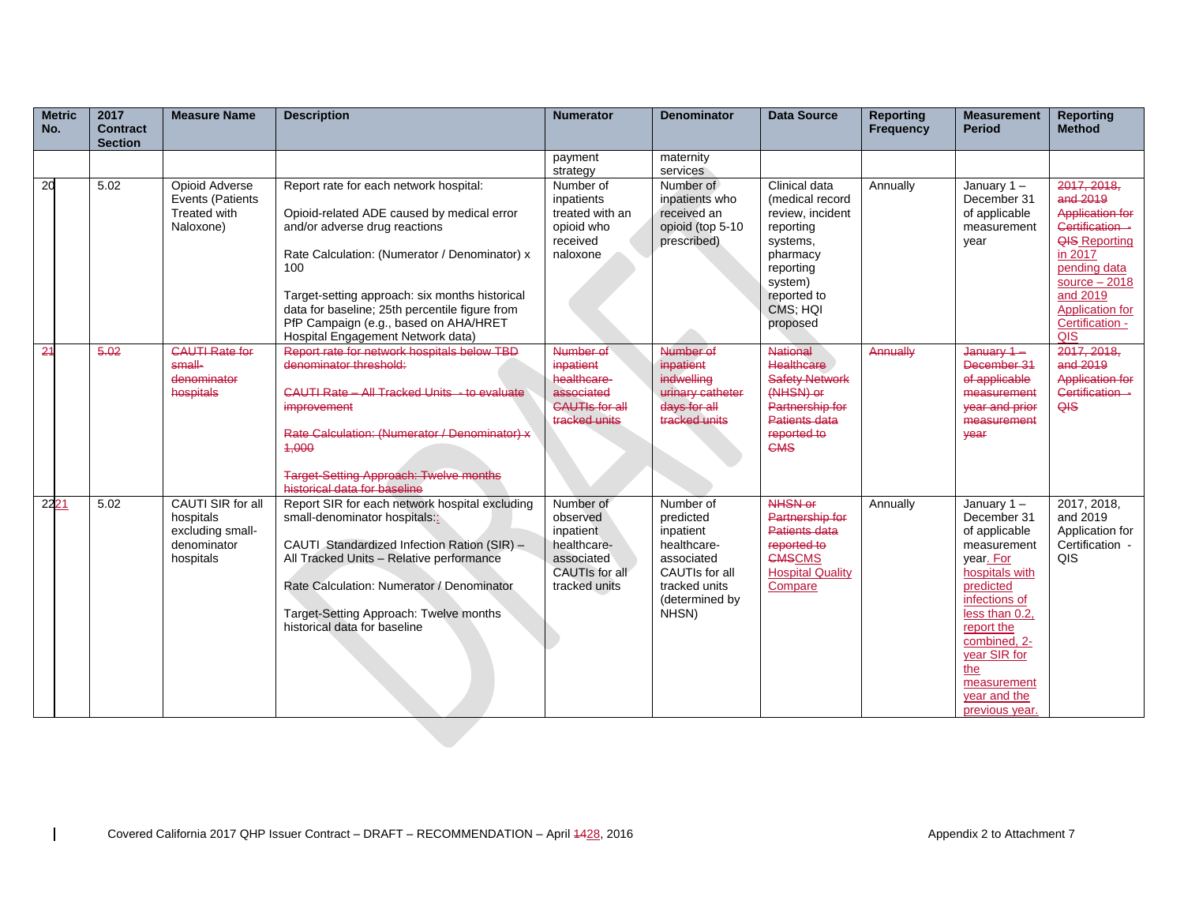| <b>Metric</b><br>No. | 2017<br><b>Contract</b><br><b>Section</b> | <b>Measure Name</b>                                                            | <b>Description</b>                                                                                                                                                                                                                                                                                                                                              | <b>Numerator</b>                                                                                   | <b>Denominator</b>                                                                                                             | <b>Data Source</b>                                                                                                                                       | <b>Reporting</b><br><b>Frequency</b> | <b>Measurement</b><br><b>Period</b>                                                                                                                                                                                                               | <b>Reporting</b><br><b>Method</b>                                                                                                                                                                  |
|----------------------|-------------------------------------------|--------------------------------------------------------------------------------|-----------------------------------------------------------------------------------------------------------------------------------------------------------------------------------------------------------------------------------------------------------------------------------------------------------------------------------------------------------------|----------------------------------------------------------------------------------------------------|--------------------------------------------------------------------------------------------------------------------------------|----------------------------------------------------------------------------------------------------------------------------------------------------------|--------------------------------------|---------------------------------------------------------------------------------------------------------------------------------------------------------------------------------------------------------------------------------------------------|----------------------------------------------------------------------------------------------------------------------------------------------------------------------------------------------------|
|                      |                                           |                                                                                |                                                                                                                                                                                                                                                                                                                                                                 | payment<br>strategy                                                                                | maternity<br>services                                                                                                          |                                                                                                                                                          |                                      |                                                                                                                                                                                                                                                   |                                                                                                                                                                                                    |
| $\overline{20}$      | 5.02                                      | <b>Opioid Adverse</b><br>Events (Patients<br>Treated with<br>Naloxone)         | Report rate for each network hospital:<br>Opioid-related ADE caused by medical error<br>and/or adverse drug reactions<br>Rate Calculation: (Numerator / Denominator) x<br>100<br>Target-setting approach: six months historical<br>data for baseline; 25th percentile figure from<br>PfP Campaign (e.g., based on AHA/HRET<br>Hospital Engagement Network data) | Number of<br>inpatients<br>treated with an<br>opioid who<br>received<br>naloxone                   | Number of<br>inpatients who<br>received an<br>opioid (top 5-10<br>prescribed)                                                  | Clinical data<br>(medical record<br>review, incident<br>reporting<br>systems,<br>pharmacy<br>reporting<br>system)<br>reported to<br>CMS; HQI<br>proposed | Annually                             | January $1 -$<br>December 31<br>of applicable<br>measurement<br>vear                                                                                                                                                                              | 2017, 2018.<br>and 2019<br><b>Application for</b><br>Certification -<br><b>QIS Reporting</b><br>in 2017<br>pending data<br>source $-2018$<br>and 2019<br>Application for<br>Certification -<br>QIS |
| $-24$                | 5.02                                      | <b>CAUTI Rate for</b><br>$small$<br>denominator<br>hospitals                   | Report rate for network hospitals below TBD<br>denominator threshold:<br>CAUTI Rate - All Tracked Units - to evaluate<br>improvement<br>Rate Calculation: (Numerator / Denominator) x<br>4,000<br><b>Target-Setting Approach: Twelve months</b><br>historical data for baseline                                                                                 | Number of<br>inpatient<br>healthcare-<br>associated<br><b>CAUTIs for all</b><br>tracked units      | Number of<br>inpatient<br><i>indwelling</i><br>urinary catheter<br>days for all<br>tracked units                               | <b>National</b><br>Healthcare<br><b>Safety Network</b><br>(NHSN) or<br>Partnership for<br>Patients data<br>reported to<br>CMS                            | Annually                             | January 1-<br>December 31<br>of applicable<br>measurement<br>year and prior<br>measurement<br><b>Year</b>                                                                                                                                         | 2017, 2018,<br>and 2019<br><b>Application for</b><br>Certification -<br>QIS                                                                                                                        |
| 2221                 | 5.02                                      | CAUTI SIR for all<br>hospitals<br>excluding small-<br>denominator<br>hospitals | Report SIR for each network hospital excluding<br>small-denominator hospitals:<br>CAUTI Standardized Infection Ration (SIR) -<br>All Tracked Units - Relative performance<br>Rate Calculation: Numerator / Denominator<br>Target-Setting Approach: Twelve months<br>historical data for baseline                                                                | Number of<br>observed<br>inpatient<br>healthcare-<br>associated<br>CAUTIs for all<br>tracked units | Number of<br>predicted<br>inpatient<br>healthcare-<br>associated<br>CAUTIs for all<br>tracked units<br>(determined by<br>NHSN) | <b>NHSN or</b><br>Partnership for<br>Patients data<br>reported to<br><b>CMSCMS</b><br><b>Hospital Quality</b><br>Compare                                 | Annually                             | January $1 -$<br>December 31<br>of applicable<br>measurement<br>year. For<br>hospitals with<br>predicted<br>infections of<br>less than 0.2.<br>report the<br>combined, 2-<br>year SIR for<br>the<br>measurement<br>year and the<br>previous year. | 2017, 2018,<br>and 2019<br>Application for<br>Certification -<br>QIS                                                                                                                               |
|                      |                                           |                                                                                |                                                                                                                                                                                                                                                                                                                                                                 |                                                                                                    |                                                                                                                                |                                                                                                                                                          |                                      |                                                                                                                                                                                                                                                   |                                                                                                                                                                                                    |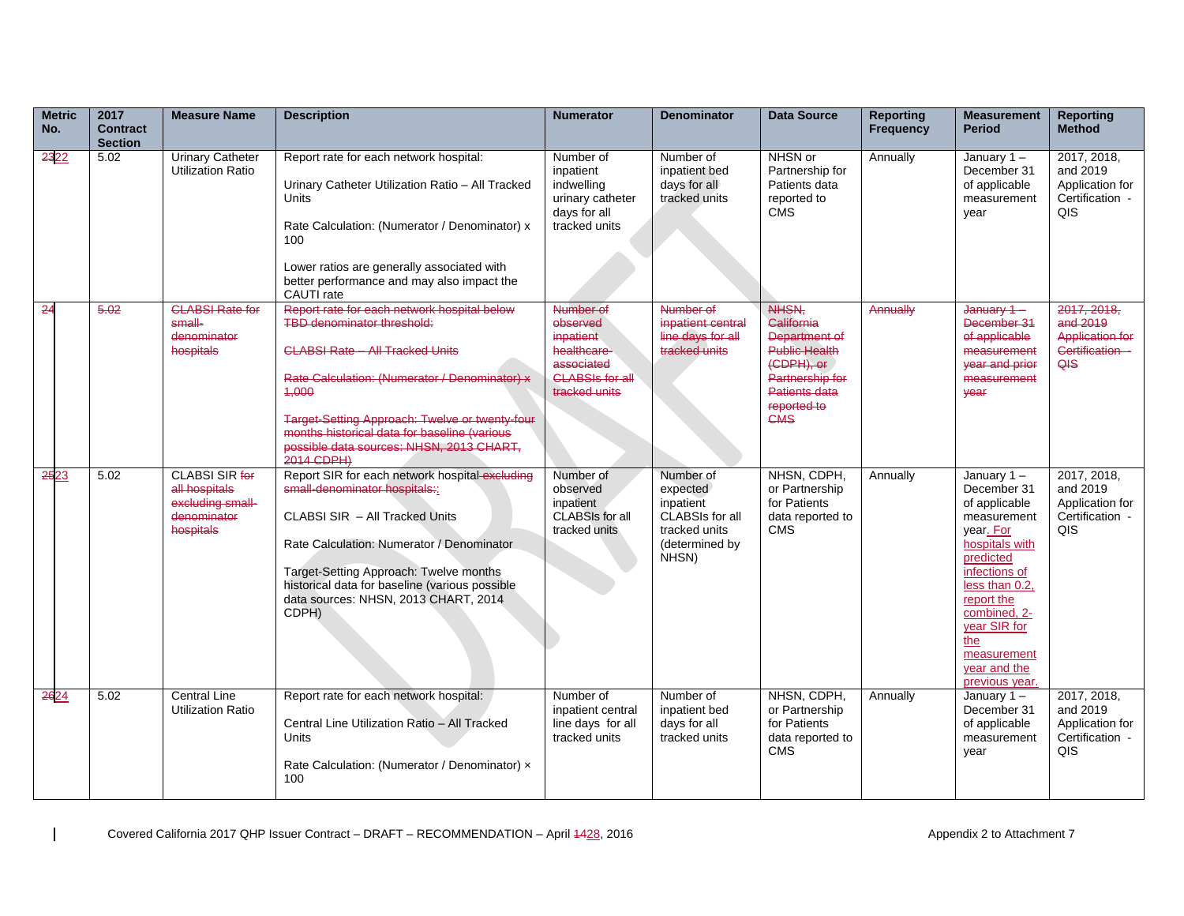| <b>Metric</b><br>No. | 2017<br><b>Contract</b> | <b>Measure Name</b>                                                                    | <b>Description</b>                                                                                                                                                                                                                                                                                                                        | <b>Numerator</b>                                                                                           | <b>Denominator</b>                                                                                       | <b>Data Source</b>                                                                                                            | <b>Reporting</b><br>Frequency | <b>Measurement</b><br><b>Period</b>                                                                                                                                                                                                               | <b>Reporting</b><br><b>Method</b>                                           |
|----------------------|-------------------------|----------------------------------------------------------------------------------------|-------------------------------------------------------------------------------------------------------------------------------------------------------------------------------------------------------------------------------------------------------------------------------------------------------------------------------------------|------------------------------------------------------------------------------------------------------------|----------------------------------------------------------------------------------------------------------|-------------------------------------------------------------------------------------------------------------------------------|-------------------------------|---------------------------------------------------------------------------------------------------------------------------------------------------------------------------------------------------------------------------------------------------|-----------------------------------------------------------------------------|
|                      | <b>Section</b>          |                                                                                        |                                                                                                                                                                                                                                                                                                                                           |                                                                                                            |                                                                                                          |                                                                                                                               |                               |                                                                                                                                                                                                                                                   |                                                                             |
| 2322                 | 5.02                    | <b>Urinary Catheter</b><br><b>Utilization Ratio</b>                                    | Report rate for each network hospital:<br>Urinary Catheter Utilization Ratio - All Tracked<br><b>Units</b><br>Rate Calculation: (Numerator / Denominator) x<br>100<br>Lower ratios are generally associated with<br>better performance and may also impact the<br>CAUTI rate                                                              | Number of<br>inpatient<br>indwelling<br>urinary catheter<br>days for all<br>tracked units                  | Number of<br>inpatient bed<br>days for all<br>tracked units                                              | NHSN or<br>Partnership for<br>Patients data<br>reported to<br><b>CMS</b>                                                      | Annually                      | January $1 -$<br>December 31<br>of applicable<br>measurement<br>vear                                                                                                                                                                              | 2017, 2018,<br>and 2019<br>Application for<br>Certification -<br><b>QIS</b> |
| $-24$                | 5.02                    | <b>CLABSL Rate for</b><br>$small$<br>denominator<br>hospitals                          | Report rate for each network hospital below<br><b>TBD</b> denominator threshold:<br>CLABSL Rate - All Tracked Units<br>Rate Calculation: (Numerator / Denominator) x<br>4,000<br>Target-Setting Approach: Twelve or twenty-four<br>months historical data for baseline (various<br>possible data sources: NHSN, 2013 CHART.<br>2014 CDPH) | Number of<br>observed<br>inpatient<br>healthcare-<br>associated<br><b>CLABSIs for all</b><br>tracked units | Number of<br>inpatient central<br>line days for all<br>tracked units                                     | NHSN.<br>California<br>Department of<br>Public Health<br>(CDPH), or<br>Partnership for<br>Patients data<br>reported to<br>CMS | Annually                      | <del>January 1 –</del><br>December 31<br>of applicable<br>measurement<br>year and prior<br>measurement<br>year                                                                                                                                    | 2017, 2018.<br>and 2019<br><b>Application for</b><br>Certification -<br>QIS |
| 2523                 | 5.02                    | <b>CLABSI SIR for</b><br>all hospitals<br>excluding small-<br>denominator<br>hospitals | Report SIR for each network hospital-excluding<br>small-denominator hospitals::<br>CLABSI SIR - All Tracked Units<br>Rate Calculation: Numerator / Denominator<br>Target-Setting Approach: Twelve months<br>historical data for baseline (various possible<br>data sources: NHSN, 2013 CHART, 2014<br>CDPH)                               | Number of<br>observed<br>inpatient<br>CLABSIs for all<br>tracked units                                     | Number of<br>expected<br>inpatient<br><b>CLABSIs for all</b><br>tracked units<br>(determined by<br>NHSN) | NHSN, CDPH,<br>or Partnership<br>for Patients<br>data reported to<br><b>CMS</b>                                               | Annually                      | January $1 -$<br>December 31<br>of applicable<br>measurement<br>vear. For<br>hospitals with<br>predicted<br>infections of<br>less than 0.2,<br>report the<br>combined, 2-<br>year SIR for<br>the<br>measurement<br>year and the<br>previous year. | 2017, 2018,<br>and 2019<br>Application for<br>Certification -<br>QIS        |
| 2624                 | 5.02                    | <b>Central Line</b><br><b>Utilization Ratio</b>                                        | Report rate for each network hospital:<br>Central Line Utilization Ratio - All Tracked<br><b>Units</b><br>Rate Calculation: (Numerator / Denominator) x<br>100                                                                                                                                                                            | Number of<br>inpatient central<br>line days for all<br>tracked units                                       | Number of<br>inpatient bed<br>days for all<br>tracked units                                              | NHSN, CDPH,<br>or Partnership<br>for Patients<br>data reported to<br><b>CMS</b>                                               | Annually                      | January $1 -$<br>December 31<br>of applicable<br>measurement<br>year                                                                                                                                                                              | 2017, 2018,<br>and 2019<br>Application for<br>Certification -<br>QIS        |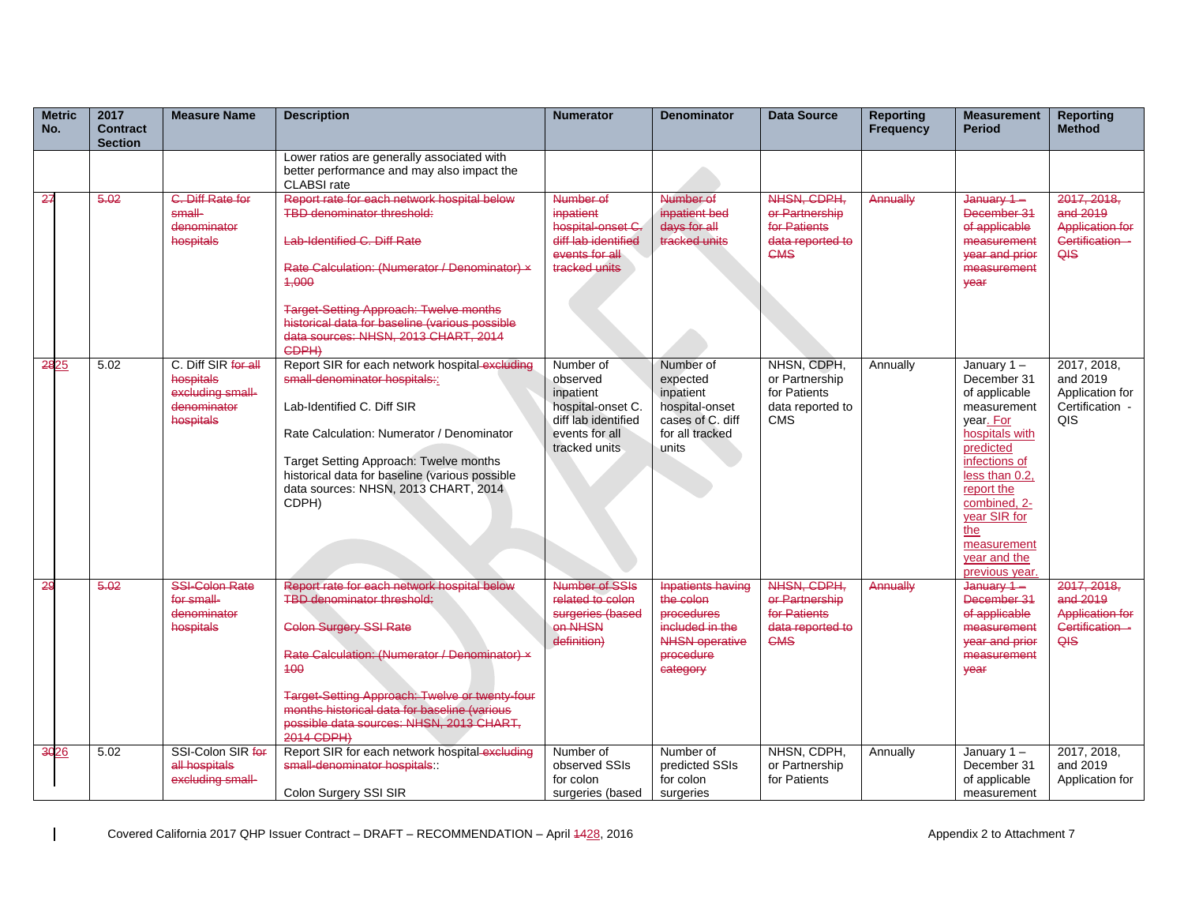| <b>Metric</b><br>No. | 2017<br><b>Contract</b><br><b>Section</b> | <b>Measure Name</b>                                                              | <b>Description</b>                                                                                                                                                                                                                                                                                                                    | <b>Numerator</b>                                                                                                  | <b>Denominator</b>                                                                                                                   | <b>Data Source</b>                                                              | <b>Reporting</b><br><b>Frequency</b> | <b>Measurement</b><br><b>Period</b>                                                                                                                                                                                                            | <b>Reporting</b><br><b>Method</b>                                             |
|----------------------|-------------------------------------------|----------------------------------------------------------------------------------|---------------------------------------------------------------------------------------------------------------------------------------------------------------------------------------------------------------------------------------------------------------------------------------------------------------------------------------|-------------------------------------------------------------------------------------------------------------------|--------------------------------------------------------------------------------------------------------------------------------------|---------------------------------------------------------------------------------|--------------------------------------|------------------------------------------------------------------------------------------------------------------------------------------------------------------------------------------------------------------------------------------------|-------------------------------------------------------------------------------|
|                      |                                           |                                                                                  | Lower ratios are generally associated with<br>better performance and may also impact the<br><b>CLABSI</b> rate                                                                                                                                                                                                                        |                                                                                                                   |                                                                                                                                      |                                                                                 |                                      |                                                                                                                                                                                                                                                |                                                                               |
| 27                   | 5.02                                      | C. Diff Rate for<br>$small-$<br>denominator<br>hospitals                         | Report rate for each network hospital below<br>TBD denominator threshold:<br>Lab-Identified C. Diff Rate<br>Rate Calculation: (Numerator / Denominator) x<br>4,000<br><b>Target-Setting Approach: Twelve months</b><br>historical data for baseline (various possible<br>data sources: NHSN, 2013 CHART, 2014<br>CDPH)                | Number of<br>inpatient<br>hospital-onset C.<br>diff lab identified<br>events for all<br>tracked units             | Number of<br>inpatient bed<br>$days$ for all<br>tracked units                                                                        | NHSN, CDPH.<br>or Partnership<br>for Patients<br>data reported to<br><b>CMS</b> | Annually                             | January 1-<br>December 31<br>of applicable<br>measurement<br><b>vear and prior</b><br>measurement<br>vear                                                                                                                                      | 2017, 2018.<br>and 2019<br><b>Application for</b><br>Certification<br>QIS     |
| 2825                 | 5.02                                      | C. Diff SIR for all<br>hospitals<br>excluding small-<br>denominator<br>hospitals | Report SIR for each network hospital-excluding<br>small-denominator hospitals::<br>Lab-Identified C. Diff SIR<br>Rate Calculation: Numerator / Denominator<br>Target Setting Approach: Twelve months<br>historical data for baseline (various possible<br>data sources: NHSN, 2013 CHART, 2014<br>CDPH)                               | Number of<br>observed<br>inpatient<br>hospital-onset C.<br>diff lab identified<br>events for all<br>tracked units | Number of<br>expected<br>inpatient<br>hospital-onset<br>cases of C. diff<br>for all tracked<br>units                                 | NHSN, CDPH,<br>or Partnership<br>for Patients<br>data reported to<br><b>CMS</b> | Annually                             | January 1-<br>December 31<br>of applicable<br>measurement<br>vear. For<br>hospitals with<br>predicted<br>infections of<br>less than 0.2,<br>report the<br>combined, 2-<br>vear SIR for<br>the<br>measurement<br>year and the<br>previous year. | 2017, 2018,<br>and 2019<br>Application for<br>Certification -<br>QIS          |
| 29                   | 5.02                                      | <b>SSI-Colon Rate</b><br>for small-<br>denominator<br>hospitals                  | Report rate for each network hospital below<br><b>TBD denominator threshold:</b><br><b>Colon Surgery SSI Rate</b><br>Rate Calculation: (Numerator / Denominator) x<br>100<br>Target-Setting Approach: Twelve or twenty-four<br>months historical data for baseline (various<br>possible data sources: NHSN, 2013 CHART.<br>2014 CDPH) | Number of SSIs<br>related to colon<br>surgeries (based<br>on NHSN<br>definition)                                  | <b>Inpatients having</b><br>the colon<br>procedures<br>.<br>included in the<br><b>NHSN operative</b><br><b>procedure</b><br>category | NHSN, CDPH.<br>er Partnership<br>for Patients<br>data reported to<br><b>CMS</b> | Annually                             | $January 1 -$<br>December 31<br>of applicable<br>measurement<br>year and prior<br>measurement<br>vear                                                                                                                                          | 2017, 2018.<br>and $2019$<br><b>Application for</b><br>Certification -<br>QIS |
| 3026                 | 5.02                                      | SSI-Colon SIR for<br>all hospitals<br>excluding small-                           | Report SIR for each network hospital-excluding<br>small-denominator hospitals:<br>Colon Surgery SSI SIR                                                                                                                                                                                                                               | Number of<br>observed SSIs<br>for colon<br>surgeries (based                                                       | Number of<br>predicted SSIs<br>for colon<br>surgeries                                                                                | NHSN, CDPH,<br>or Partnership<br>for Patients                                   | Annually                             | January 1-<br>December 31<br>of applicable<br>measurement                                                                                                                                                                                      | 2017, 2018,<br>and 2019<br>Application for                                    |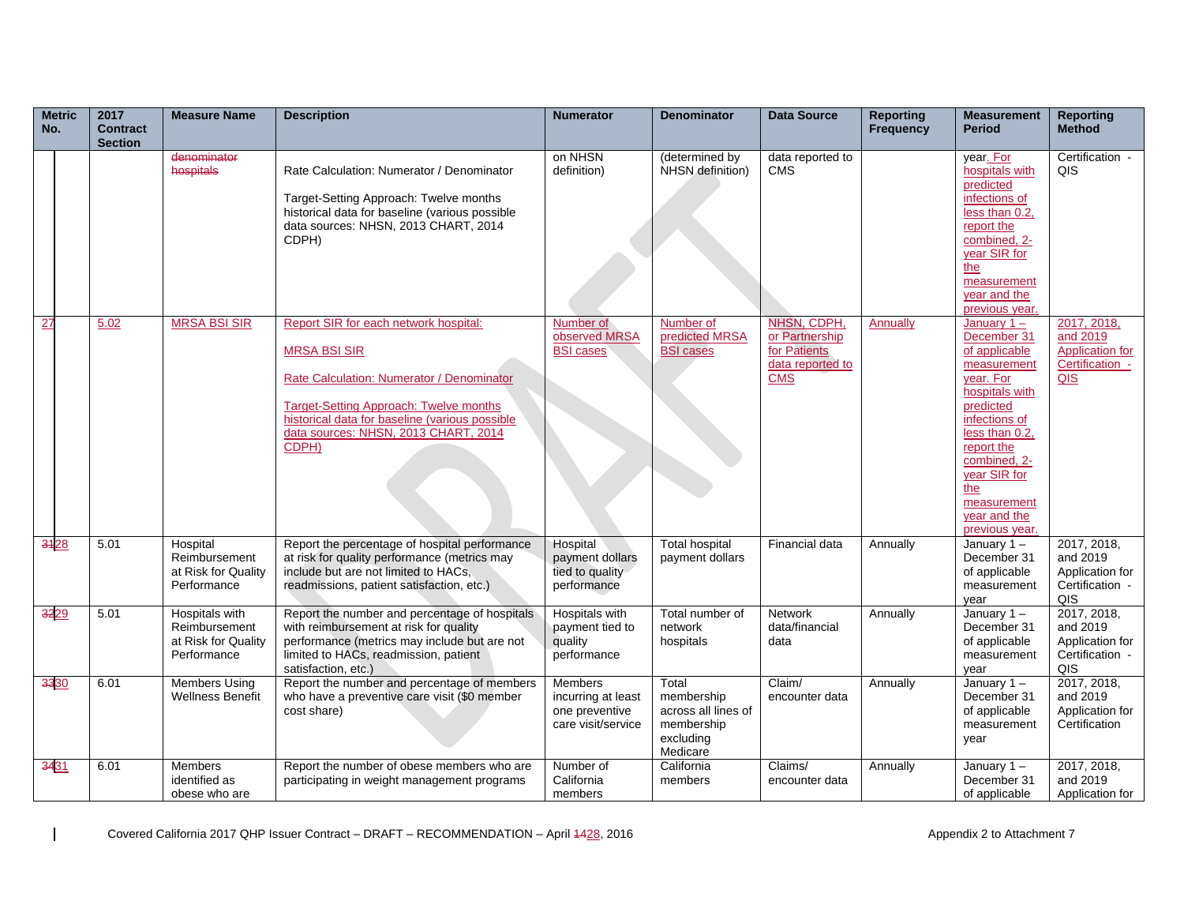| <b>Metric</b><br>No. | 2017<br><b>Contract</b><br><b>Section</b> | <b>Measure Name</b>                                                   | <b>Description</b>                                                                                                                                                                                                                                            | <b>Numerator</b>                                                             | <b>Denominator</b>                                                                | <b>Data Source</b>                                                              | <b>Reporting</b><br>Frequency | <b>Measurement</b><br><b>Period</b>                                                                                                                                                                                                               | <b>Reporting</b><br><b>Method</b>                                           |
|----------------------|-------------------------------------------|-----------------------------------------------------------------------|---------------------------------------------------------------------------------------------------------------------------------------------------------------------------------------------------------------------------------------------------------------|------------------------------------------------------------------------------|-----------------------------------------------------------------------------------|---------------------------------------------------------------------------------|-------------------------------|---------------------------------------------------------------------------------------------------------------------------------------------------------------------------------------------------------------------------------------------------|-----------------------------------------------------------------------------|
|                      |                                           | denominator<br>hospitals                                              | Rate Calculation: Numerator / Denominator<br>Target-Setting Approach: Twelve months<br>historical data for baseline (various possible<br>data sources: NHSN, 2013 CHART, 2014<br>CDPH)                                                                        | on NHSN<br>definition)                                                       | (determined by<br>NHSN definition)                                                | data reported to<br><b>CMS</b>                                                  |                               | year. For<br>hospitals with<br>predicted<br>infections of<br>less than 0.2,<br>report the<br>combined, 2-<br>year SIR for<br>the<br>measurement<br>year and the<br>previous year.                                                                 | Certification -<br>QIS                                                      |
| 27                   | 5.02                                      | <b>MRSA BSI SIR</b>                                                   | Report SIR for each network hospital:<br><b>MRSA BSI SIR</b><br>Rate Calculation: Numerator / Denominator<br><b>Target-Setting Approach: Twelve months</b><br>historical data for baseline (various possible<br>data sources: NHSN, 2013 CHART, 2014<br>CDPH) | Number of<br>observed MRSA<br><b>BSI</b> cases                               | Number of<br>predicted MRSA<br><b>BSI cases</b>                                   | NHSN, CDPH,<br>or Partnership<br>for Patients<br>data reported to<br><b>CMS</b> | <b>Annually</b>               | January $1 -$<br>December 31<br>of applicable<br>measurement<br>year. For<br>hospitals with<br>predicted<br>infections of<br>less than 0.2,<br>report the<br>combined, 2-<br>year SIR for<br>the<br>measurement<br>year and the<br>previous year. | 2017, 2018,<br>and 2019<br><b>Application for</b><br>Certification -<br>QIS |
| 3428                 | 5.01                                      | Hospital<br>Reimbursement<br>at Risk for Quality<br>Performance       | Report the percentage of hospital performance<br>at risk for quality performance (metrics may<br>include but are not limited to HACs,<br>readmissions, patient satisfaction, etc.)                                                                            | Hospital<br>payment dollars<br>tied to quality<br>performance                | <b>Total hospital</b><br>payment dollars                                          | Financial data                                                                  | Annually                      | January $1 -$<br>December 31<br>of applicable<br>measurement<br>year                                                                                                                                                                              | 2017, 2018,<br>and 2019<br>Application for<br>Certification -<br>QIS        |
| 3229                 | 5.01                                      | Hospitals with<br>Reimbursement<br>at Risk for Quality<br>Performance | Report the number and percentage of hospitals<br>with reimbursement at risk for quality<br>performance (metrics may include but are not<br>limited to HACs, readmission, patient<br>satisfaction, etc.)                                                       | Hospitals with<br>payment tied to<br>quality<br>performance                  | Total number of<br>network<br>hospitals                                           | <b>Network</b><br>data/financial<br>data                                        | Annually                      | January $1 -$<br>December 31<br>of applicable<br>measurement<br>year                                                                                                                                                                              | 2017, 2018,<br>and 2019<br>Application for<br>Certification -<br>QIS        |
| 3330                 | 6.01                                      | <b>Members Using</b><br><b>Wellness Benefit</b>                       | Report the number and percentage of members<br>who have a preventive care visit (\$0 member<br>cost share)                                                                                                                                                    | <b>Members</b><br>incurring at least<br>one preventive<br>care visit/service | Total<br>membership<br>across all lines of<br>membership<br>excluding<br>Medicare | Claim/<br>encounter data                                                        | Annually                      | January $1 -$<br>December 31<br>of applicable<br>measurement<br>year                                                                                                                                                                              | 2017, 2018,<br>and 2019<br>Application for<br>Certification                 |
| 3431                 | 6.01                                      | <b>Members</b><br>identified as<br>obese who are                      | Report the number of obese members who are<br>participating in weight management programs                                                                                                                                                                     | Number of<br>California<br>members                                           | California<br>members                                                             | Claims/<br>encounter data                                                       | Annually                      | January $1 -$<br>December 31<br>of applicable                                                                                                                                                                                                     | 2017, 2018,<br>and 2019<br>Application for                                  |